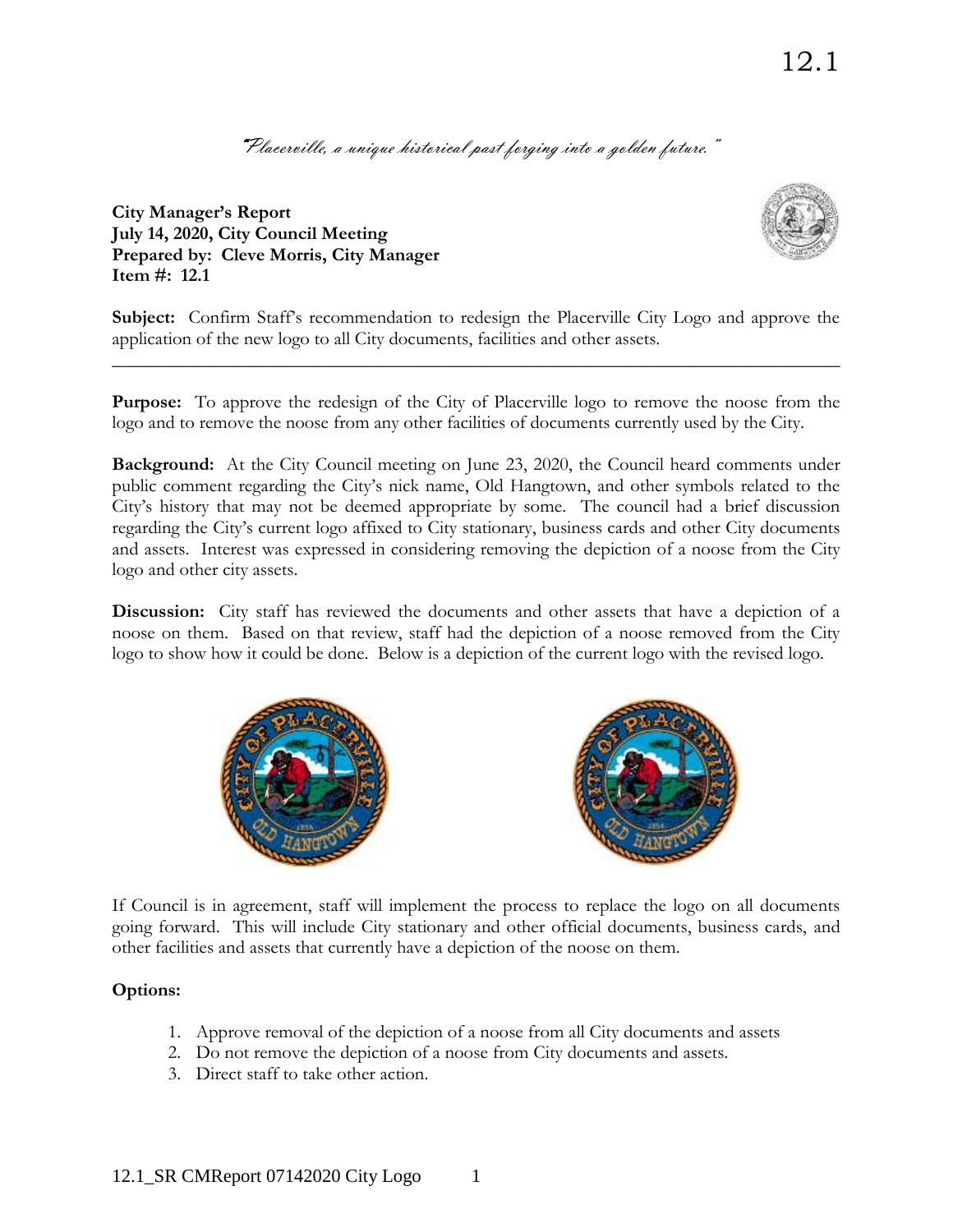"Placerville, a unique historical past forging into a golden future."

**City Manager's Report July 14, 2020, City Council Meeting Prepared by: Cleve Morris, City Manager Item #: 12.1**



**Subject:** Confirm Staff's recommendation to redesign the Placerville City Logo and approve the application of the new logo to all City documents, facilities and other assets.

**\_\_\_\_\_\_\_\_\_\_\_\_\_\_\_\_\_\_\_\_\_\_\_\_\_\_\_\_\_\_\_\_\_\_\_\_\_\_\_\_\_\_\_\_\_\_\_\_\_\_\_\_\_\_\_\_\_\_\_\_\_\_\_\_\_\_\_\_\_\_\_\_\_\_\_\_\_\_**

**Purpose:** To approve the redesign of the City of Placerville logo to remove the noose from the logo and to remove the noose from any other facilities of documents currently used by the City.

**Background:** At the City Council meeting on June 23, 2020, the Council heard comments under public comment regarding the City's nick name, Old Hangtown, and other symbols related to the City's history that may not be deemed appropriate by some. The council had a brief discussion regarding the City's current logo affixed to City stationary, business cards and other City documents and assets. Interest was expressed in considering removing the depiction of a noose from the City logo and other city assets.

**Discussion:** City staff has reviewed the documents and other assets that have a depiction of a noose on them. Based on that review, staff had the depiction of a noose removed from the City logo to show how it could be done. Below is a depiction of the current logo with the revised logo.





If Council is in agreement, staff will implement the process to replace the logo on all documents going forward. This will include City stationary and other official documents, business cards, and other facilities and assets that currently have a depiction of the noose on them.

## **Options:**

- 1. Approve removal of the depiction of a noose from all City documents and assets
- 2. Do not remove the depiction of a noose from City documents and assets.
- 3. Direct staff to take other action.